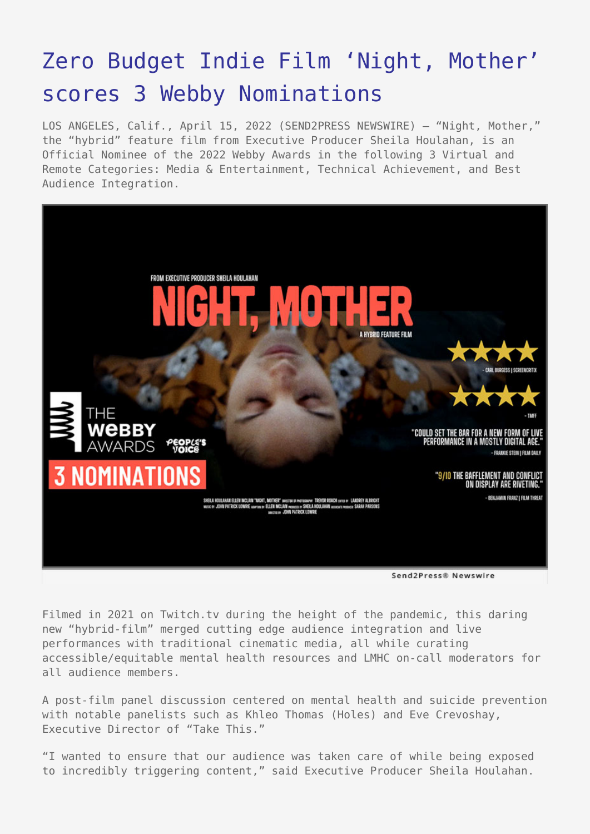## [Zero Budget Indie Film 'Night, Mother'](https://www.send2press.com/wire/zero-budget-indie-film-night-mother-scores-3-webby-nominations/) [scores 3 Webby Nominations](https://www.send2press.com/wire/zero-budget-indie-film-night-mother-scores-3-webby-nominations/)

LOS ANGELES, Calif., April 15, 2022 (SEND2PRESS NEWSWIRE) – "Night, Mother," the "hybrid" feature film from Executive Producer Sheila Houlahan, is an Official Nominee of the 2022 Webby Awards in the following 3 Virtual and Remote Categories: Media & Entertainment, Technical Achievement, and Best Audience Integration.



Filmed in 2021 on Twitch.tv during the height of the pandemic, this daring new "hybrid-film" merged cutting edge audience integration and live performances with traditional cinematic media, all while curating accessible/equitable mental health resources and LMHC on-call moderators for all audience members.

A post-film panel discussion centered on mental health and suicide prevention with notable panelists such as Khleo Thomas (Holes) and Eve Crevoshay, Executive Director of "Take This."

"I wanted to ensure that our audience was taken care of while being exposed to incredibly triggering content," said Executive Producer Sheila Houlahan.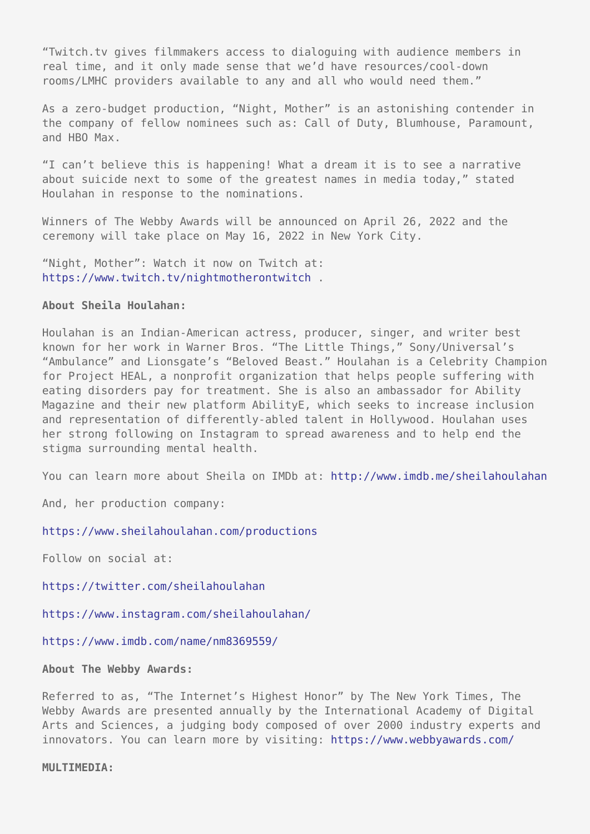"Twitch.tv gives filmmakers access to dialoguing with audience members in real time, and it only made sense that we'd have resources/cool-down rooms/LMHC providers available to any and all who would need them."

As a zero-budget production, "Night, Mother" is an astonishing contender in the company of fellow nominees such as: Call of Duty, Blumhouse, Paramount, and HBO Max.

"I can't believe this is happening! What a dream it is to see a narrative about suicide next to some of the greatest names in media today," stated Houlahan in response to the nominations.

Winners of The Webby Awards will be announced on April 26, 2022 and the ceremony will take place on May 16, 2022 in New York City.

"Night, Mother": Watch it now on Twitch at: <https://www.twitch.tv/nightmotherontwitch> .

## **About Sheila Houlahan:**

Houlahan is an Indian-American actress, producer, singer, and writer best known for her work in Warner Bros. "The Little Things," Sony/Universal's "Ambulance" and Lionsgate's "Beloved Beast." Houlahan is a Celebrity Champion for Project HEAL, a nonprofit organization that helps people suffering with eating disorders pay for treatment. She is also an ambassador for Ability Magazine and their new platform AbilityE, which seeks to increase inclusion and representation of differently-abled talent in Hollywood. Houlahan uses her strong following on Instagram to spread awareness and to help end the stigma surrounding mental health.

You can learn more about Sheila on IMDb at: <http://www.imdb.me/sheilahoulahan>

And, her production company:

<https://www.sheilahoulahan.com/productions>

Follow on social at:

<https://twitter.com/sheilahoulahan>

<https://www.instagram.com/sheilahoulahan/>

<https://www.imdb.com/name/nm8369559/>

**About The Webby Awards:**

Referred to as, "The Internet's Highest Honor" by The New York Times, The Webby Awards are presented annually by the International Academy of Digital Arts and Sciences, a judging body composed of over 2000 industry experts and innovators. You can learn more by visiting: <https://www.webbyawards.com/>

## **MULTIMEDIA:**